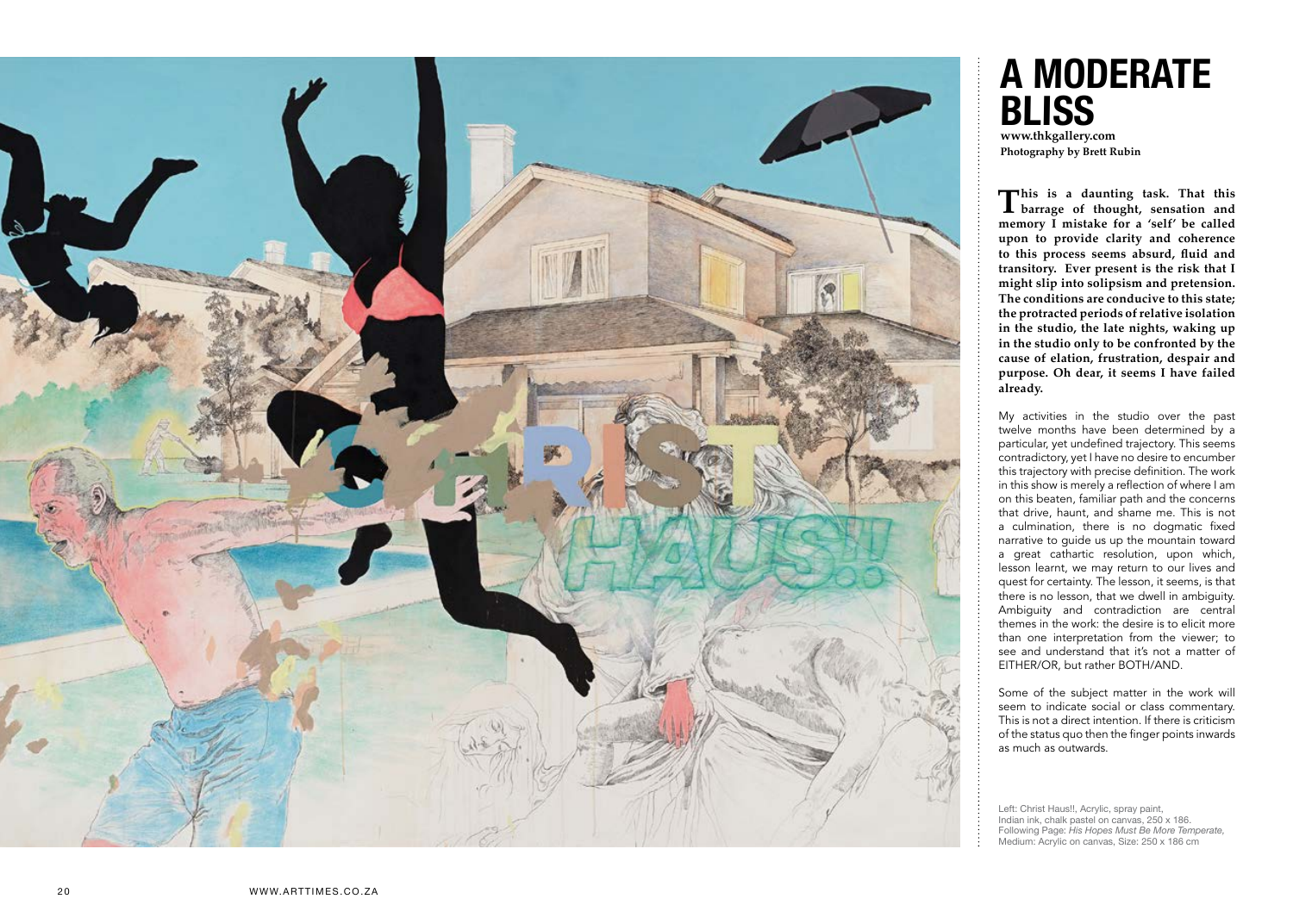

## **A MODERATE BLISS www.thkgallery.com Photography by Brett Rubin**

**This is a daunting task. That this barrage of thought, sensation and memory I mistake for a 'self' be called upon to provide clarity and coherence to this process seems absurd, fluid and transitory. Ever present is the risk that I might slip into solipsism and pretension. The conditions are conducive to this state; the protracted periods of relative isolation in the studio, the late nights, waking up in the studio only to be confronted by the cause of elation, frustration, despair and purpose. Oh dear, it seems I have failed already.**

My activities in the studio over the past twelve months have been determined by a particular, yet undefined trajectory. This seems contradictory, yet I have no desire to encumber this trajectory with precise definition. The work in this show is merely a reflection of where I am on this beaten, familiar path and the concerns that drive, haunt, and shame me. This is not a culmination, there is no dogmatic fixed narrative to guide us up the mountain toward a great cathartic resolution, upon which, lesson learnt, we may return to our lives and quest for certainty. The lesson, it seems, is that there is no lesson, that we dwell in ambiguity. Ambiguity and contradiction are central themes in the work: the desire is to elicit more than one interpretation from the viewer; to see and understand that it's not a matter of EITHER/OR, but rather BOTH/AND.

Some of the subject matter in the work will seem to indicate social or class commentary. This is not a direct intention. If there is criticism of the status quo then the finger points inwards as much as outwards.

Left: Christ Haus!!, Acrylic, spray paint, Indian ink, chalk pastel on canvas, 250 x 186. Following Page: *His Hopes Must Be More Temperate,*  Medium: Acrylic on canvas, Size: 250 x 186 cm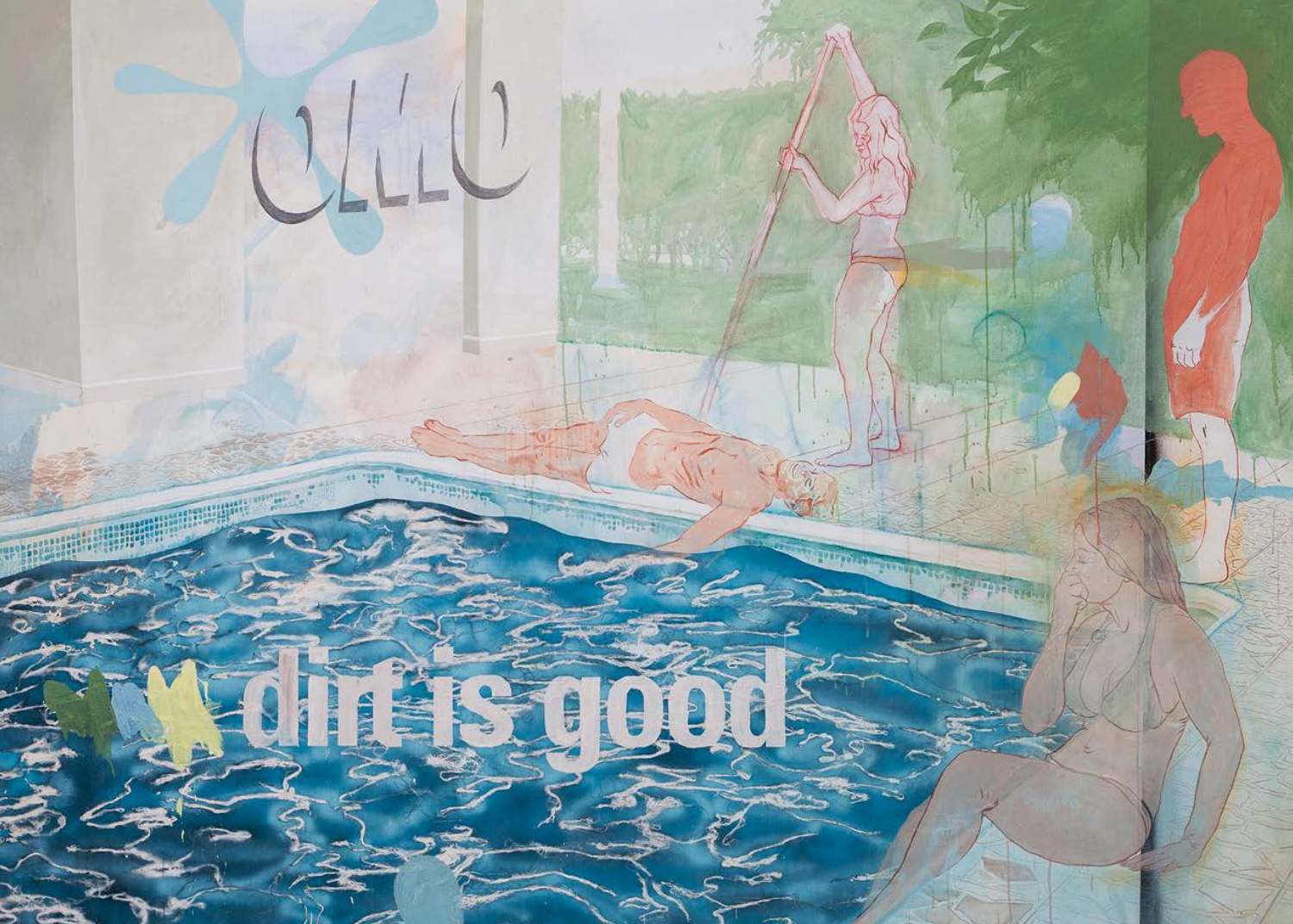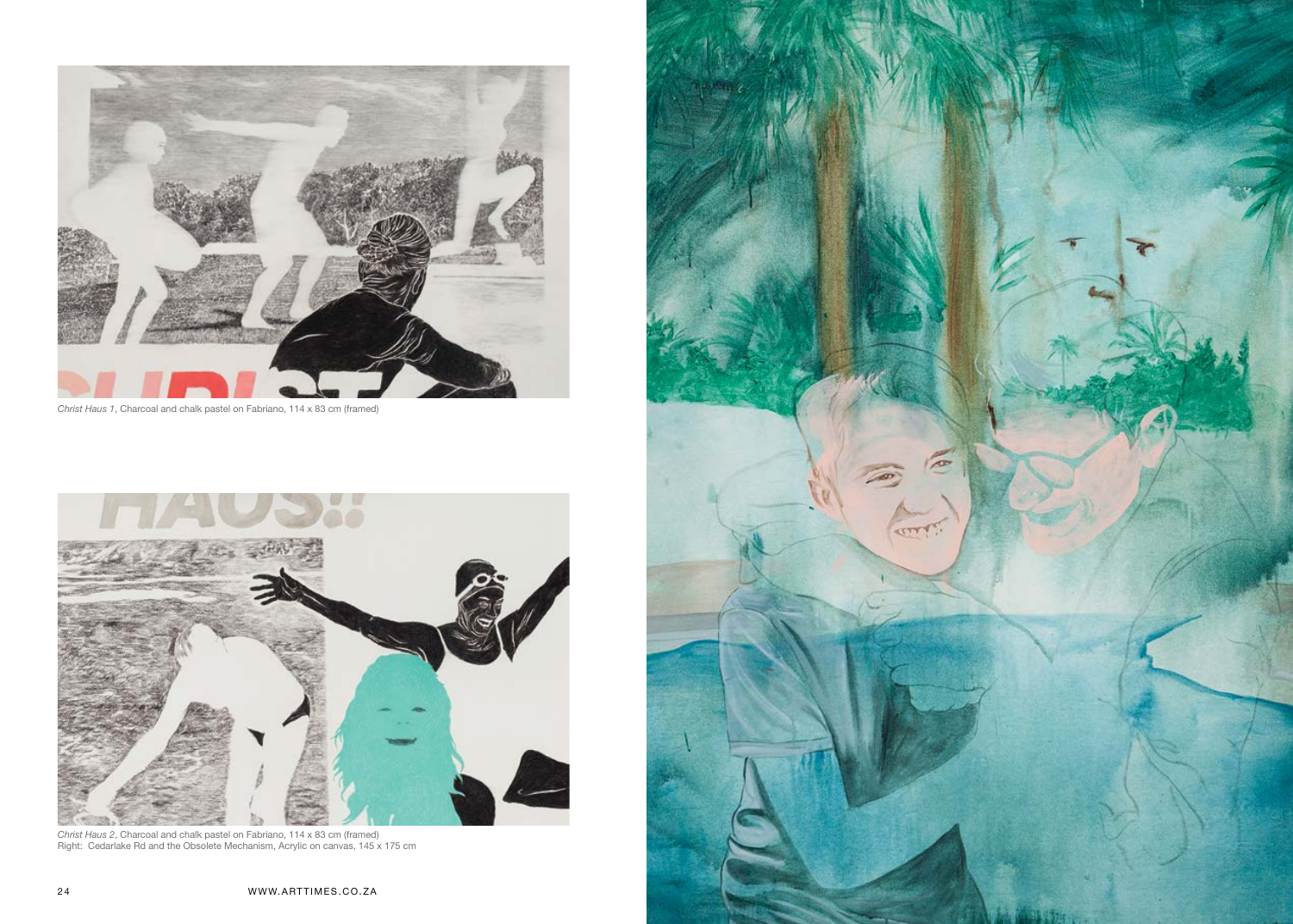

*Christ Haus 1*, Charcoal and chalk pastel on Fabriano, 114 x 83 cm (framed)



*Christ Haus 2*, Charcoal and chalk pastel on Fabriano, 114 x 83 cm (framed) Right: Cedarlake Rd and the Obsolete Mechanism, Acrylic on canvas, 145 x 175 cm